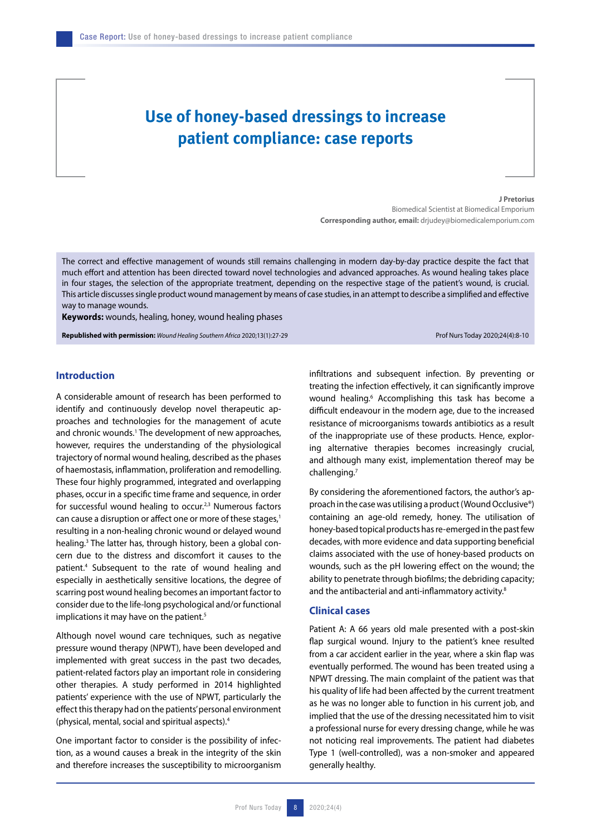# **Use of honey-based dressings to increase patient compliance: case reports**

**J Pretorius**  Biomedical Scientist at Biomedical Emporium **Corresponding author, email:** drjudey@biomedicalemporium.com

The correct and effective management of wounds still remains challenging in modern day-by-day practice despite the fact that much effort and attention has been directed toward novel technologies and advanced approaches. As wound healing takes place in four stages, the selection of the appropriate treatment, depending on the respective stage of the patient's wound, is crucial. This article discusses single product wound management by means of case studies, in an attempt to describe a simplified and effective way to manage wounds.

**Keywords:** wounds, healing, honey, wound healing phases

**Republished with permission:** *Wound Healing Southern Africa* 2020;13(1):27-29 Prof Nurs Today 2020;24(4):8-10

# **Introduction**

A considerable amount of research has been performed to identify and continuously develop novel therapeutic approaches and technologies for the management of acute and chronic wounds.<sup>1</sup> The development of new approaches, however, requires the understanding of the physiological trajectory of normal wound healing, described as the phases of haemostasis, inflammation, proliferation and remodelling. These four highly programmed, integrated and overlapping phases, occur in a specific time frame and sequence, in order for successful wound healing to occur.<sup>2,3</sup> Numerous factors can cause a disruption or affect one or more of these stages,<sup>1</sup> resulting in a non-healing chronic wound or delayed wound healing.<sup>3</sup> The latter has, through history, been a global concern due to the distress and discomfort it causes to the patient.4 Subsequent to the rate of wound healing and especially in aesthetically sensitive locations, the degree of scarring post wound healing becomes an important factor to consider due to the life-long psychological and/or functional implications it may have on the patient.<sup>5</sup>

Although novel wound care techniques, such as negative pressure wound therapy (NPWT), have been developed and implemented with great success in the past two decades, patient-related factors play an important role in considering other therapies. A study performed in 2014 highlighted patients' experience with the use of NPWT, particularly the effect this therapy had on the patients' personal environment (physical, mental, social and spiritual aspects).4

One important factor to consider is the possibility of infection, as a wound causes a break in the integrity of the skin and therefore increases the susceptibility to microorganism

infiltrations and subsequent infection. By preventing or treating the infection effectively, it can significantly improve wound healing.<sup>6</sup> Accomplishing this task has become a difficult endeavour in the modern age, due to the increased resistance of microorganisms towards antibiotics as a result of the inappropriate use of these products. Hence, exploring alternative therapies becomes increasingly crucial, and although many exist, implementation thereof may be challenging.7

By considering the aforementioned factors, the author's approach in the case was utilising a product (Wound Occlusive®) containing an age-old remedy, honey. The utilisation of honey-based topical products has re-emerged in the past few decades, with more evidence and data supporting beneficial claims associated with the use of honey-based products on wounds, such as the pH lowering effect on the wound; the ability to penetrate through biofilms; the debriding capacity; and the antibacterial and anti-inflammatory activity.<sup>8</sup>

## **Clinical cases**

Patient A: A 66 years old male presented with a post-skin flap surgical wound. Injury to the patient's knee resulted from a car accident earlier in the year, where a skin flap was eventually performed. The wound has been treated using a NPWT dressing. The main complaint of the patient was that his quality of life had been affected by the current treatment as he was no longer able to function in his current job, and implied that the use of the dressing necessitated him to visit a professional nurse for every dressing change, while he was not noticing real improvements. The patient had diabetes Type 1 (well-controlled), was a non-smoker and appeared generally healthy.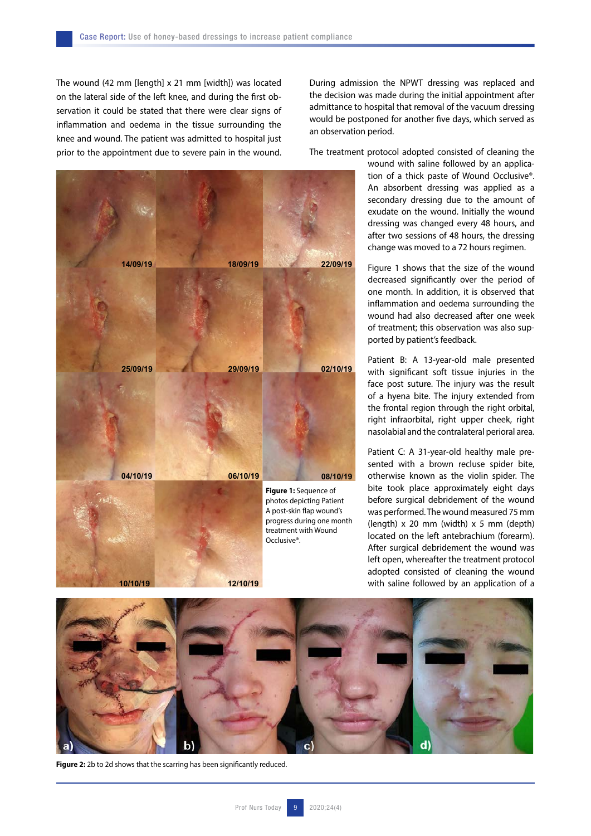The wound (42 mm [length] x 21 mm [width]) was located on the lateral side of the left knee, and during the first observation it could be stated that there were clear signs of inflammation and oedema in the tissue surrounding the knee and wound. The patient was admitted to hospital just prior to the appointment due to severe pain in the wound.



During admission the NPWT dressing was replaced and the decision was made during the initial appointment after admittance to hospital that removal of the vacuum dressing would be postponed for another five days, which served as an observation period.

The treatment protocol adopted consisted of cleaning the

wound with saline followed by an application of a thick paste of Wound Occlusive®. An absorbent dressing was applied as a secondary dressing due to the amount of exudate on the wound. Initially the wound dressing was changed every 48 hours, and after two sessions of 48 hours, the dressing change was moved to a 72 hours regimen.

Figure 1 shows that the size of the wound decreased significantly over the period of one month. In addition, it is observed that inflammation and oedema surrounding the wound had also decreased after one week of treatment; this observation was also supported by patient's feedback.

Patient B: A 13-year-old male presented with significant soft tissue injuries in the face post suture. The injury was the result of a hyena bite. The injury extended from the frontal region through the right orbital, right infraorbital, right upper cheek, right nasolabial and the contralateral perioral area.

Patient C: A 31-year-old healthy male presented with a brown recluse spider bite, otherwise known as the violin spider. The bite took place approximately eight days before surgical debridement of the wound was performed. The wound measured 75 mm  $(lenath) \times 20$  mm  $(width) \times 5$  mm  $(depth)$ located on the left antebrachium (forearm). After surgical debridement the wound was left open, whereafter the treatment protocol adopted consisted of cleaning the wound with saline followed by an application of a



Figure 2: 2b to 2d shows that the scarring has been significantly reduced.